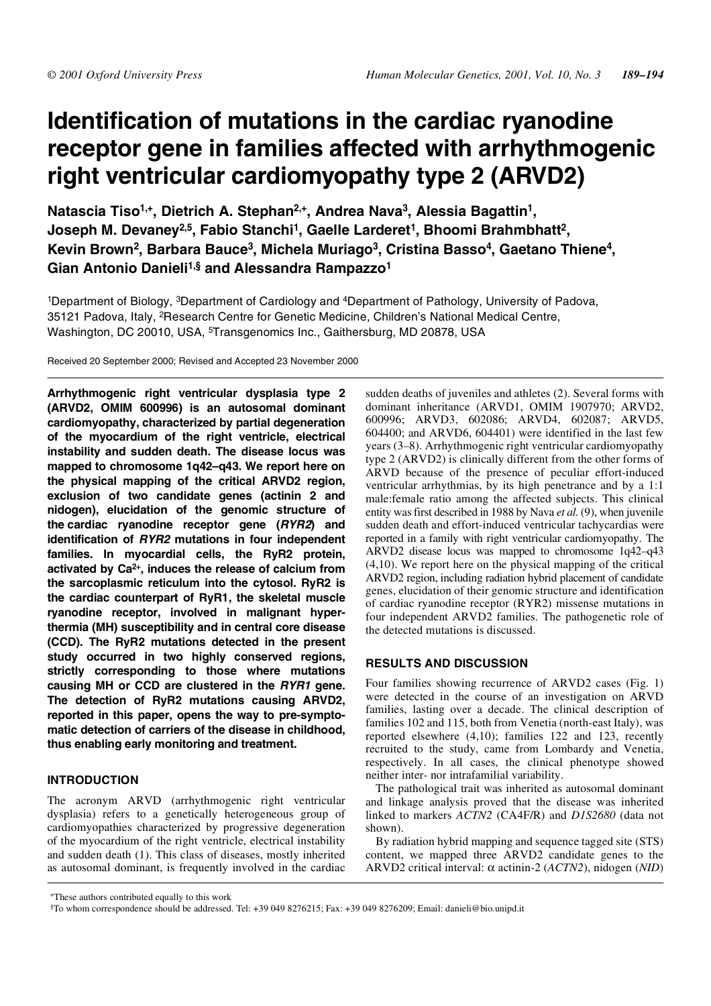# **Identification of mutations in the cardiac ryanodine receptor gene in families affected with arrhythmogenic right ventricular cardiomyopathy type 2 (ARVD2)**

**Natascia Tiso1,+, Dietrich A. Stephan2,+, Andrea Nava3, Alessia Bagattin1, Joseph M. Devaney2,5, Fabio Stanchi1, Gaelle Larderet1, Bhoomi Brahmbhatt2, Kevin Brown2, Barbara Bauce3, Michela Muriago3, Cristina Basso4, Gaetano Thiene4, Gian Antonio Danieli1,§ and Alessandra Rampazzo1**

1Department of Biology, 3Department of Cardiology and 4Department of Pathology, University of Padova, 35121 Padova, Italy, 2Research Centre for Genetic Medicine, Children's National Medical Centre, Washington, DC 20010, USA, <sup>5</sup>Transgenomics Inc., Gaithersburg, MD 20878, USA

Received 20 September 2000; Revised and Accepted 23 November 2000

**Arrhythmogenic right ventricular dysplasia type 2 (ARVD2, OMIM 600996) is an autosomal dominant cardiomyopathy, characterized by partial degeneration of the myocardium of the right ventricle, electrical instability and sudden death. The disease locus was mapped to chromosome 1q42–q43. We report here on the physical mapping of the critical ARVD2 region, exclusion of two candidate genes (actinin 2 and nidogen), elucidation of the genomic structure of the cardiac ryanodine receptor gene (RYR2) and identification of RYR2 mutations in four independent families. In myocardial cells, the RyR2 protein, activated by Ca2+, induces the release of calcium from the sarcoplasmic reticulum into the cytosol. RyR2 is the cardiac counterpart of RyR1, the skeletal muscle ryanodine receptor, involved in malignant hyperthermia (MH) susceptibility and in central core disease (CCD). The RyR2 mutations detected in the present study occurred in two highly conserved regions, strictly corresponding to those where mutations causing MH or CCD are clustered in the RYR1 gene. The detection of RyR2 mutations causing ARVD2, reported in this paper, opens the way to pre-symptomatic detection of carriers of the disease in childhood, thus enabling early monitoring and treatment.**

# **INTRODUCTION**

The acronym ARVD (arrhythmogenic right ventricular dysplasia) refers to a genetically heterogeneous group of cardiomyopathies characterized by progressive degeneration of the myocardium of the right ventricle, electrical instability and sudden death (1). This class of diseases, mostly inherited as autosomal dominant, is frequently involved in the cardiac sudden deaths of juveniles and athletes (2). Several forms with dominant inheritance (ARVD1, OMIM 1907970; ARVD2, 600996; ARVD3, 602086; ARVD4, 602087; ARVD5, 604400; and ARVD6, 604401) were identified in the last few years (3–8). Arrhythmogenic right ventricular cardiomyopathy type 2 (ARVD2) is clinically different from the other forms of ARVD because of the presence of peculiar effort-induced ventricular arrhythmias, by its high penetrance and by a 1:1 male:female ratio among the affected subjects. This clinical entity was first described in 1988 by Nava *et al.*(9), when juvenile sudden death and effort-induced ventricular tachycardias were reported in a family with right ventricular cardiomyopathy. The ARVD2 disease locus was mapped to chromosome 1q42–q43 (4,10). We report here on the physical mapping of the critical ARVD2 region, including radiation hybrid placement of candidate genes, elucidation of their genomic structure and identification of cardiac ryanodine receptor (RYR2) missense mutations in four independent ARVD2 families. The pathogenetic role of the detected mutations is discussed.

# **RESULTS AND DISCUSSION**

Four families showing recurrence of ARVD2 cases (Fig. 1) were detected in the course of an investigation on ARVD families, lasting over a decade. The clinical description of families 102 and 115, both from Venetia (north-east Italy), was reported elsewhere (4,10); families 122 and 123, recently recruited to the study, came from Lombardy and Venetia, respectively. In all cases, the clinical phenotype showed neither inter- nor intrafamilial variability.

The pathological trait was inherited as autosomal dominant and linkage analysis proved that the disease was inherited linked to markers *ACTN2* (CA4F/R) and *D1S2680* (data not shown).

By radiation hybrid mapping and sequence tagged site (STS) content, we mapped three ARVD2 candidate genes to the ARVD2 critical interval: α actinin-2 (*ACTN2*), nidogen (*NID*)

<sup>+</sup>These authors contributed equally to this work

<sup>§</sup>To whom correspondence should be addressed. Tel: +39 049 8276215; Fax: +39 049 8276209; Email: danieli@bio.unipd.it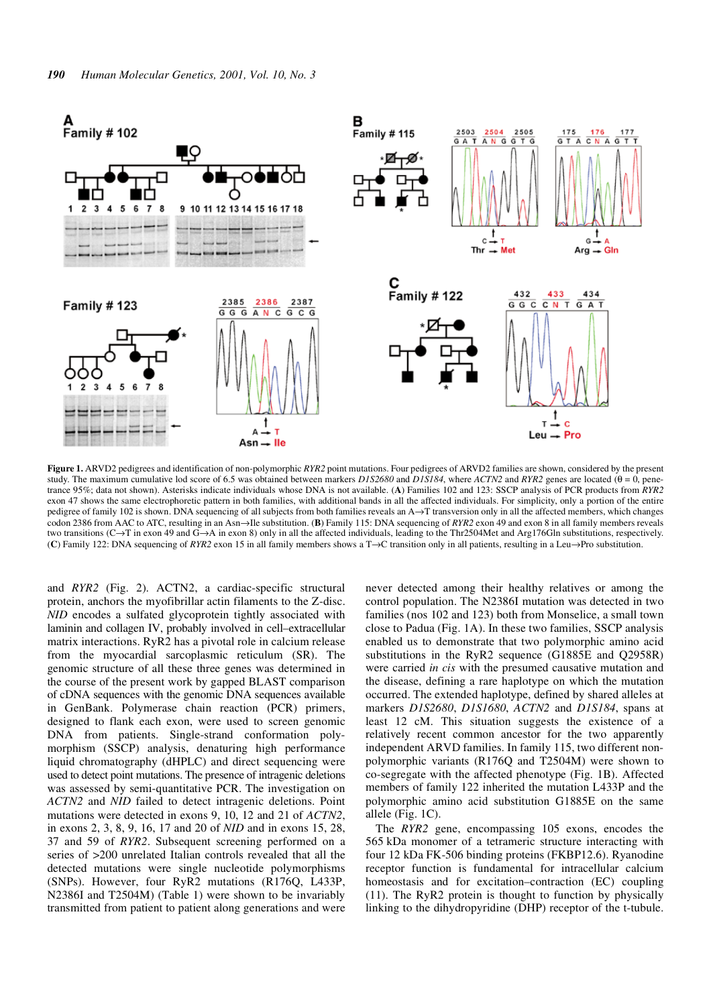

**Figure 1.** ARVD2 pedigrees and identification of non-polymorphic *RYR2* point mutations. Four pedigrees of ARVD2 families are shown, considered by the present study. The maximum cumulative lod score of 6.5 was obtained between markers  $DIS2680$  and  $DIS184$ , where  $ACTN2$  and  $RYR2$  genes are located (θ = 0, penetrance 95%; data not shown). Asterisks indicate individuals whose DNA is not available. (**A**) Families 102 and 123: SSCP analysis of PCR products from *RYR2* exon 47 shows the same electrophoretic pattern in both families, with additional bands in all the affected individuals. For simplicity, only a portion of the entire pedigree of family 102 is shown. DNA sequencing of all subjects from both families reveals an A→T transversion only in all the affected members, which changes codon 2386 from AAC to ATC, resulting in an Asn→Ile substitution. (**B**) Family 115: DNA sequencing of *RYR2* exon 49 and exon 8 in all family members reveals two transitions (C→T in exon 49 and G→A in exon 8) only in all the affected individuals, leading to the Thr2504Met and Arg176Gln substitutions, respectively. (**C**) Family 122: DNA sequencing of *RYR2* exon 15 in all family members shows a T→C transition only in all patients, resulting in a Leu→Pro substitution.

and *RYR2* (Fig. 2). ACTN2, a cardiac-specific structural protein, anchors the myofibrillar actin filaments to the Z-disc. *NID* encodes a sulfated glycoprotein tightly associated with laminin and collagen IV, probably involved in cell–extracellular matrix interactions. RyR2 has a pivotal role in calcium release from the myocardial sarcoplasmic reticulum (SR). The genomic structure of all these three genes was determined in the course of the present work by gapped BLAST comparison of cDNA sequences with the genomic DNA sequences available in GenBank. Polymerase chain reaction (PCR) primers, designed to flank each exon, were used to screen genomic DNA from patients. Single-strand conformation polymorphism (SSCP) analysis, denaturing high performance liquid chromatography (dHPLC) and direct sequencing were used to detect point mutations. The presence of intragenic deletions was assessed by semi-quantitative PCR. The investigation on *ACTN2* and *NID* failed to detect intragenic deletions. Point mutations were detected in exons 9, 10, 12 and 21 of *ACTN2*, in exons 2, 3, 8, 9, 16, 17 and 20 of *NID* and in exons 15, 28, 37 and 59 of *RYR2*. Subsequent screening performed on a series of >200 unrelated Italian controls revealed that all the detected mutations were single nucleotide polymorphisms (SNPs). However, four RyR2 mutations (R176Q, L433P, N2386I and T2504M) (Table 1) were shown to be invariably transmitted from patient to patient along generations and were never detected among their healthy relatives or among the control population. The N2386I mutation was detected in two families (nos 102 and 123) both from Monselice, a small town close to Padua (Fig. 1A). In these two families, SSCP analysis enabled us to demonstrate that two polymorphic amino acid substitutions in the RyR2 sequence (G1885E and Q2958R) were carried *in cis* with the presumed causative mutation and the disease, defining a rare haplotype on which the mutation occurred. The extended haplotype, defined by shared alleles at markers *D1S2680*, *D1S1680*, *ACTN2* and *D1S184*, spans at least 12 cM. This situation suggests the existence of a relatively recent common ancestor for the two apparently independent ARVD families. In family 115, two different nonpolymorphic variants (R176Q and T2504M) were shown to co-segregate with the affected phenotype (Fig. 1B). Affected members of family 122 inherited the mutation L433P and the polymorphic amino acid substitution G1885E on the same allele (Fig. 1C).

The *RYR2* gene, encompassing 105 exons, encodes the 565 kDa monomer of a tetrameric structure interacting with four 12 kDa FK-506 binding proteins (FKBP12.6). Ryanodine receptor function is fundamental for intracellular calcium homeostasis and for excitation–contraction (EC) coupling (11). The RyR2 protein is thought to function by physically linking to the dihydropyridine (DHP) receptor of the t-tubule.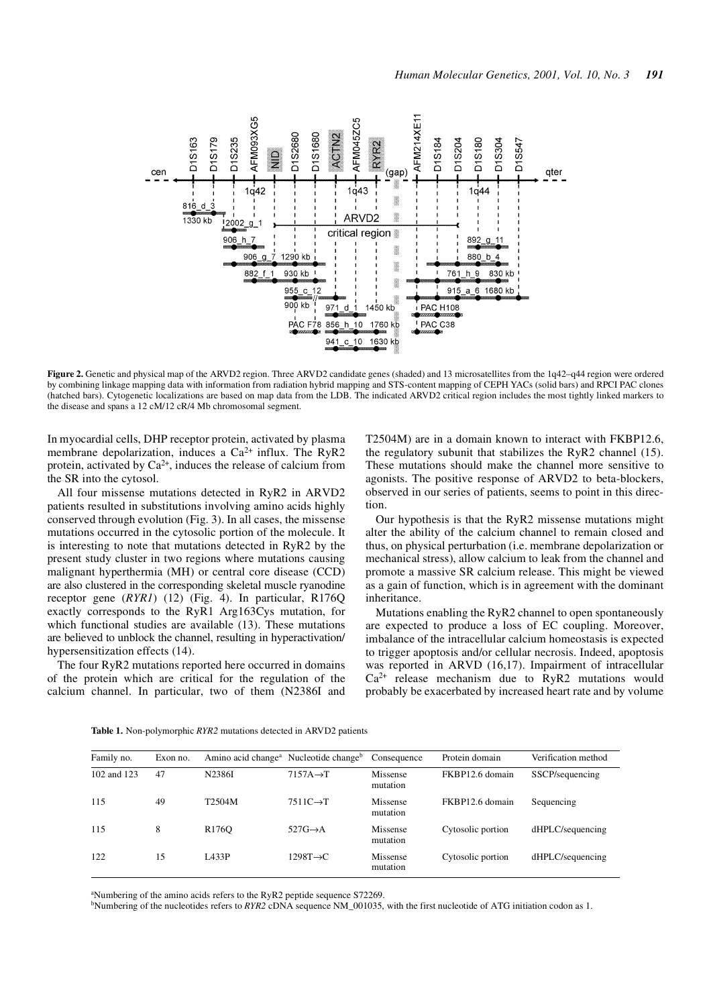

**Figure 2.** Genetic and physical map of the ARVD2 region. Three ARVD2 candidate genes (shaded) and 13 microsatellites from the 1q42–q44 region were ordered by combining linkage mapping data with information from radiation hybrid mapping and STS-content mapping of CEPH YACs (solid bars) and RPCI PAC clones (hatched bars). Cytogenetic localizations are based on map data from the LDB. The indicated ARVD2 critical region includes the most tightly linked markers to the disease and spans a 12 cM/12 cR/4 Mb chromosomal segment.

In myocardial cells, DHP receptor protein, activated by plasma membrane depolarization, induces a Ca<sup>2+</sup> influx. The RyR2 protein, activated by  $Ca^{2+}$ , induces the release of calcium from the SR into the cytosol.

All four missense mutations detected in RyR2 in ARVD2 patients resulted in substitutions involving amino acids highly conserved through evolution (Fig. 3). In all cases, the missense mutations occurred in the cytosolic portion of the molecule. It is interesting to note that mutations detected in RyR2 by the present study cluster in two regions where mutations causing malignant hyperthermia (MH) or central core disease (CCD) are also clustered in the corresponding skeletal muscle ryanodine receptor gene (*RYR1*) (12) (Fig. 4). In particular, R176Q exactly corresponds to the RyR1 Arg163Cys mutation, for which functional studies are available (13). These mutations are believed to unblock the channel, resulting in hyperactivation/ hypersensitization effects (14).

The four RyR2 mutations reported here occurred in domains of the protein which are critical for the regulation of the calcium channel. In particular, two of them (N2386I and T2504M) are in a domain known to interact with FKBP12.6, the regulatory subunit that stabilizes the RyR2 channel (15). These mutations should make the channel more sensitive to agonists. The positive response of ARVD2 to beta-blockers, observed in our series of patients, seems to point in this direction.

Our hypothesis is that the RyR2 missense mutations might alter the ability of the calcium channel to remain closed and thus, on physical perturbation (i.e. membrane depolarization or mechanical stress), allow calcium to leak from the channel and promote a massive SR calcium release. This might be viewed as a gain of function, which is in agreement with the dominant inheritance.

Mutations enabling the RyR2 channel to open spontaneously are expected to produce a loss of EC coupling. Moreover, imbalance of the intracellular calcium homeostasis is expected to trigger apoptosis and/or cellular necrosis. Indeed, apoptosis was reported in ARVD (16,17). Impairment of intracellular  $Ca<sup>2+</sup>$  release mechanism due to RyR2 mutations would probably be exacerbated by increased heart rate and by volume

| Family no.  | Exon no. |                    | Amino acid change <sup>a</sup> Nucleotide change <sup>b</sup> | Consequence          | Protein domain    | Verification method |
|-------------|----------|--------------------|---------------------------------------------------------------|----------------------|-------------------|---------------------|
| 102 and 123 | 47       | N2386I             | $7157A \rightarrow T$                                         | Missense<br>mutation | FKBP12.6 domain   | SSCP/sequencing     |
| 115         | 49       | T2504M             | $7511C \rightarrow T$                                         | Missense<br>mutation | FKBP12.6 domain   | Sequencing          |
| 115         | 8        | R <sub>176</sub> O | $527G \rightarrow A$                                          | Missense<br>mutation | Cytosolic portion | dHPLC/sequencing    |
| 122         | 15       | <b>LA33P</b>       | $1298T \rightarrow C$                                         | Missense<br>mutation | Cytosolic portion | dHPLC/sequencing    |

**Table 1.** Non-polymorphic *RYR2* mutations detected in ARVD2 patients

<sup>a</sup>Numbering of the amino acids refers to the RyR2 peptide sequence S72269.

bNumbering of the nucleotides refers to *RYR2* cDNA sequence NM\_001035, with the first nucleotide of ATG initiation codon as 1.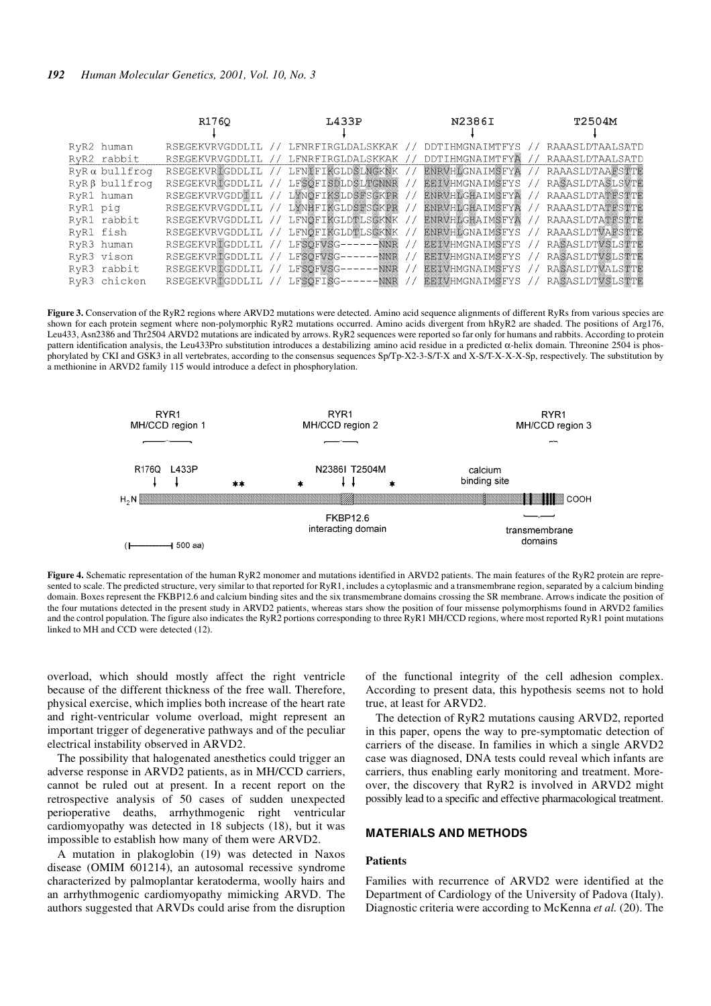|                             | R1760              | L433P                                | N2386I                                          | T2504M                 |
|-----------------------------|--------------------|--------------------------------------|-------------------------------------------------|------------------------|
| RyR2 human                  | RSEGEKVRVGDDLIL    | LFNRFIRGLDALSKKAK //                 | <b>DDTIHMGNAIMTFYS</b>                          | RAAASLDTAALSATD        |
| RyR2 rabbit                 | RSEGEKVRVGDDLIL    | LFNRFIRGLDALSKKAK /                  | DDTIHMGNAIMTFY                                  | RAAASLDTAALSATD        |
| $R$ y $R$ $\alpha$ bullfroq | RSEGEKVRIGDDLIL    | LFNIFIKGLDSLNGKNK //                 | ENRVHIGNAIMSFYA                                 | RAAASLDTAAFSTTE        |
| $RyR\beta$ bullfroq         | RSEGEKVRIGDDLIL // | LFSOFISDLDSLTGNNR                    | <b>EEIVHMGNAIMSFYS</b><br>$\frac{1}{2}$         | RASASLDTASLSVTE        |
| RyR1 human                  | RSEGEKVRVGDDILL    | LYNOFIKSLDSFSGKPR                    | ENRVHLGHAIMSFYA<br>$\left\langle \right\rangle$ | RAAASLDTATESTTE<br>77  |
| RyR1 piq                    | RSEGEKVRVGDDLIL    | LYNHFIKGLDSFSGKPR                    | <b>ENRVHIGHAIMSFYA</b>                          | RAAASLDTATESTTE<br>77  |
| RyR1 rabbit                 | RSEGEKVRVGDDLIL // | LFNOFIKGLDTLSGKNK                    | ENRVHIGHAIMSFYA<br>$\frac{1}{2}$                | RAAASLDTATESTTE<br>77  |
| RyR1 fish                   | RSEGEKVRVGDDLIL // | LFNOFIKGLDTLSOKNK //                 | <b>ENRVHIGNAIMSFYS</b>                          | RAAASLDTVAESTTE<br>-17 |
| RyR3 human                  | RSEGEKVRIGDDLIL // | LFSOFVSG------NNR                    | <b>EEIVHMGNAIMSFYS</b><br>$\prime$              | RASASLDTVSLSTTE        |
| RyR3 vison                  | RSEGEKVRIGDDLIL // | LFSOFWSG------NNR                    | <b>EEIVHMGNAIMSFYS</b><br>$\prime$ ,            | <b>RASASLDTVSLSTTE</b> |
| RyR3 rabbit                 | RSEGEKVRIGDDLIL // | LFSOFVSG------NNR                    | <b>EETVHMGNAIMSFYS</b><br>$\prime$              | RASASLDTVALSTTE        |
| RvR3 chicken                |                    | RSEGEKVRIGDDLIL // LFSOFISG------NNR | <b>EEIVHMGNAIMSFYS</b><br>$\frac{1}{2}$         | <b>RASASLDTVSLSTTE</b> |

Figure 3. Conservation of the RyR2 regions where ARVD2 mutations were detected. Amino acid sequence alignments of different RyRs from various species are shown for each protein segment where non-polymorphic RyR2 mutations occurred. Amino acids divergent from hRyR2 are shaded. The positions of Arg176, Leu433, Asn2386 and Thr2504 ARVD2 mutations are indicated by arrows. RyR2 sequences were reported so far only for humans and rabbits. According to protein pattern identification analysis, the Leu433Pro substitution introduces a destabilizing amino acid residue in a predicted α-helix domain. Threonine 2504 is phosphorylated by CKI and GSK3 in all vertebrates, according to the consensus sequences Sp/Tp-X2-3-S/T-X and X-S/T-X-X-X-Sp, respectively. The substitution by a methionine in ARVD2 family 115 would introduce a defect in phosphorylation.



Figure 4. Schematic representation of the human RyR2 monomer and mutations identified in ARVD2 patients. The main features of the RyR2 protein are represented to scale. The predicted structure, very similar to that reported for RyR1, includes a cytoplasmic and a transmembrane region, separated by a calcium binding domain. Boxes represent the FKBP12.6 and calcium binding sites and the six transmembrane domains crossing the SR membrane. Arrows indicate the position of the four mutations detected in the present study in ARVD2 patients, whereas stars show the position of four missense polymorphisms found in ARVD2 families and the control population. The figure also indicates the RyR2 portions corresponding to three RyR1 MH/CCD regions, where most reported RyR1 point mutations linked to MH and CCD were detected (12).

overload, which should mostly affect the right ventricle because of the different thickness of the free wall. Therefore, physical exercise, which implies both increase of the heart rate and right-ventricular volume overload, might represent an important trigger of degenerative pathways and of the peculiar electrical instability observed in ARVD2.

The possibility that halogenated anesthetics could trigger an adverse response in ARVD2 patients, as in MH/CCD carriers, cannot be ruled out at present. In a recent report on the retrospective analysis of 50 cases of sudden unexpected perioperative deaths, arrhythmogenic right ventricular cardiomyopathy was detected in 18 subjects (18), but it was impossible to establish how many of them were ARVD2.

A mutation in plakoglobin (19) was detected in Naxos disease (OMIM 601214), an autosomal recessive syndrome characterized by palmoplantar keratoderma, woolly hairs and an arrhythmogenic cardiomyopathy mimicking ARVD. The authors suggested that ARVDs could arise from the disruption of the functional integrity of the cell adhesion complex. According to present data, this hypothesis seems not to hold true, at least for ARVD2.

The detection of RyR2 mutations causing ARVD2, reported in this paper, opens the way to pre-symptomatic detection of carriers of the disease. In families in which a single ARVD2 case was diagnosed, DNA tests could reveal which infants are carriers, thus enabling early monitoring and treatment. Moreover, the discovery that RyR2 is involved in ARVD2 might possibly lead to a specific and effective pharmacological treatment.

## **MATERIALS AND METHODS**

## **Patients**

Families with recurrence of ARVD2 were identified at the Department of Cardiology of the University of Padova (Italy). Diagnostic criteria were according to McKenna *et al.* (20). The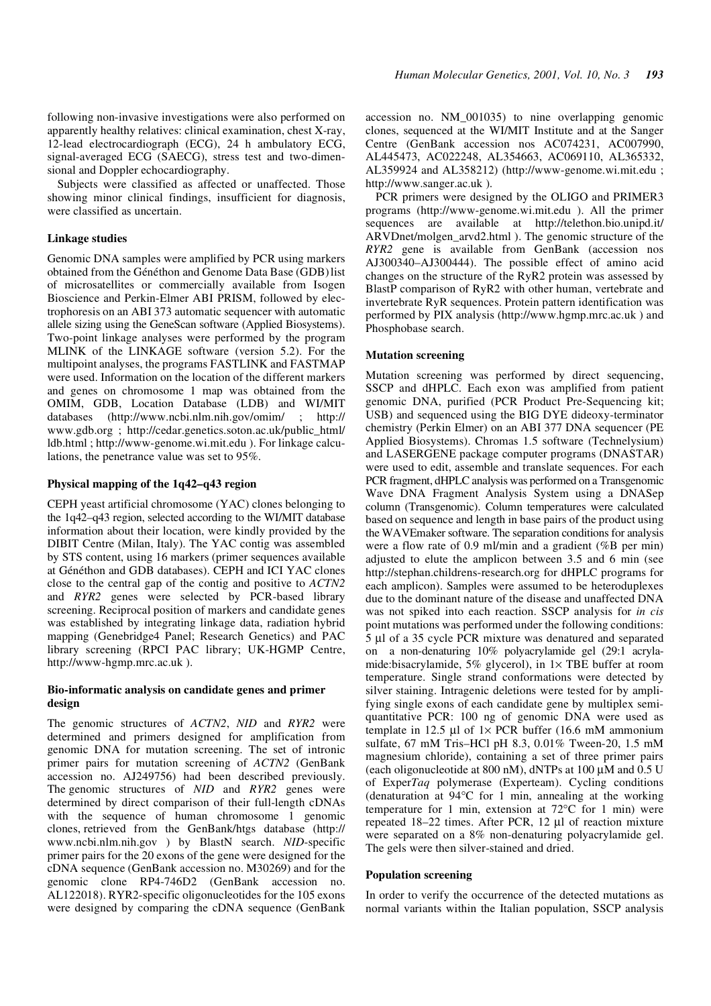following non-invasive investigations were also performed on apparently healthy relatives: clinical examination, chest X-ray, 12-lead electrocardiograph (ECG), 24 h ambulatory ECG, signal-averaged ECG (SAECG), stress test and two-dimensional and Doppler echocardiography.

Subjects were classified as affected or unaffected. Those showing minor clinical findings, insufficient for diagnosis, were classified as uncertain.

#### **Linkage studies**

Genomic DNA samples were amplified by PCR using markers obtained from the Généthon and Genome Data Base (GDB) list of microsatellites or commercially available from Isogen Bioscience and Perkin-Elmer ABI PRISM, followed by electrophoresis on an ABI 373 automatic sequencer with automatic allele sizing using the GeneScan software (Applied Biosystems). Two-point linkage analyses were performed by the program MLINK of the LINKAGE software (version 5.2). For the multipoint analyses, the programs FASTLINK and FASTMAP were used. Information on the location of the different markers and genes on chromosome 1 map was obtained from the OMIM, GDB, Location Database (LDB) and WI/MIT databases (http://www.ncbi.nlm.nih.gov/omim/ ; http:// www.gdb.org ; http://cedar.genetics.soton.ac.uk/public\_html/ ldb.html ; http://www-genome.wi.mit.edu ). For linkage calculations, the penetrance value was set to 95%.

## **Physical mapping of the 1q42–q43 region**

CEPH yeast artificial chromosome (YAC) clones belonging to the 1q42–q43 region, selected according to the WI/MIT database information about their location, were kindly provided by the DIBIT Centre (Milan, Italy). The YAC contig was assembled by STS content, using 16 markers (primer sequences available at Généthon and GDB databases). CEPH and ICI YAC clones close to the central gap of the contig and positive to *ACTN2* and *RYR2* genes were selected by PCR-based library screening. Reciprocal position of markers and candidate genes was established by integrating linkage data, radiation hybrid mapping (Genebridge4 Panel; Research Genetics) and PAC library screening (RPCI PAC library; UK-HGMP Centre, http://www-hgmp.mrc.ac.uk ).

## **Bio-informatic analysis on candidate genes and primer design**

The genomic structures of *ACTN2*, *NID* and *RYR2* were determined and primers designed for amplification from genomic DNA for mutation screening. The set of intronic primer pairs for mutation screening of *ACTN2* (GenBank accession no. AJ249756) had been described previously. The genomic structures of *NID* and *RYR2* genes were determined by direct comparison of their full-length cDNAs with the sequence of human chromosome 1 genomic clones, retrieved from the GenBank/htgs database (http:// www.ncbi.nlm.nih.gov ) by BlastN search. *NID*-specific primer pairs for the 20 exons of the gene were designed for the cDNA sequence (GenBank accession no. M30269) and for the genomic clone RP4-746D2 (GenBank accession no. AL122018). RYR2-specific oligonucleotides for the 105 exons were designed by comparing the cDNA sequence (GenBank accession no. NM\_001035) to nine overlapping genomic clones, sequenced at the WI/MIT Institute and at the Sanger Centre (GenBank accession nos AC074231, AC007990, AL445473, AC022248, AL354663, AC069110, AL365332, AL359924 and AL358212) (http://www-genome.wi.mit.edu ; http://www.sanger.ac.uk ).

PCR primers were designed by the OLIGO and PRIMER3 programs (http://www-genome.wi.mit.edu ). All the primer sequences are available at http://telethon.bio.unipd.it/ ARVDnet/molgen\_arvd2.html ). The genomic structure of the *RYR2* gene is available from GenBank (accession nos AJ300340–AJ300444). The possible effect of amino acid changes on the structure of the RyR2 protein was assessed by BlastP comparison of RyR2 with other human, vertebrate and invertebrate RyR sequences. Protein pattern identification was performed by PIX analysis (http://www.hgmp.mrc.ac.uk ) and Phosphobase search.

#### **Mutation screening**

Mutation screening was performed by direct sequencing, SSCP and dHPLC. Each exon was amplified from patient genomic DNA, purified (PCR Product Pre-Sequencing kit; USB) and sequenced using the BIG DYE dideoxy-terminator chemistry (Perkin Elmer) on an ABI 377 DNA sequencer (PE Applied Biosystems). Chromas 1.5 software (Technelysium) and LASERGENE package computer programs (DNASTAR) were used to edit, assemble and translate sequences. For each PCR fragment, dHPLC analysis was performed on a Transgenomic Wave DNA Fragment Analysis System using a DNASep column (Transgenomic). Column temperatures were calculated based on sequence and length in base pairs of the product using the WAVEmaker software. The separation conditions for analysis were a flow rate of 0.9 ml/min and a gradient (%B per min) adjusted to elute the amplicon between 3.5 and 6 min (see http://stephan.childrens-research.org for dHPLC programs for each amplicon). Samples were assumed to be heteroduplexes due to the dominant nature of the disease and unaffected DNA was not spiked into each reaction. SSCP analysis for *in cis* point mutations was performed under the following conditions: 5 µl of a 35 cycle PCR mixture was denatured and separated on a non-denaturing 10% polyacrylamide gel (29:1 acrylamide:bisacrylamide, 5% glycerol), in  $1 \times$  TBE buffer at room temperature. Single strand conformations were detected by silver staining. Intragenic deletions were tested for by amplifying single exons of each candidate gene by multiplex semiquantitative PCR: 100 ng of genomic DNA were used as template in 12.5 µl of  $1 \times PCR$  buffer (16.6 mM ammonium sulfate, 67 mM Tris–HCl pH 8.3, 0.01% Tween-20, 1.5 mM magnesium chloride), containing a set of three primer pairs (each oligonucleotide at 800 nM), dNTPs at 100  $\mu$ M and 0.5 U of Exper*Taq* polymerase (Experteam). Cycling conditions (denaturation at 94°C for 1 min, annealing at the working temperature for 1 min, extension at 72°C for 1 min) were repeated 18–22 times. After PCR, 12 µl of reaction mixture were separated on a 8% non-denaturing polyacrylamide gel. The gels were then silver-stained and dried.

#### **Population screening**

In order to verify the occurrence of the detected mutations as normal variants within the Italian population, SSCP analysis